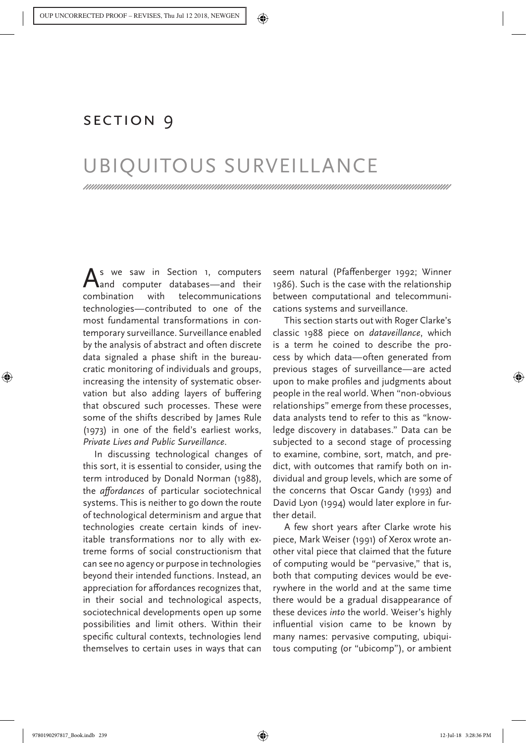Monahan, Torin, and David Murakami Wood. 2018. Ubiquitous Surveillance. In Surveillance Studies: A Reader, edited by T. Monahan and D. Murakami Wood. New York: Oxford University Press, 239-242.

## SECTION 9

## UBIQUITOUS SURVEILLANCE

As we saw in Section 1, computers<br>Aand computer databases—and their combination with telecommunications technologies—contributed to one of the most fundamental transformations in contemporary surveillance. Surveillance enabled by the analysis of abstract and often discrete data signaled a phase shift in the bureaucratic monitoring of individuals and groups, increasing the intensity of systematic observation but also adding layers of buffering that obscured such processes. These were some of the shifts described by James Rule (1973) in one of the field's earliest works, *Private Lives and Public Surveillance*.

In discussing technological changes of this sort, it is essential to consider, using the term introduced by Donald Norman (1988), the *affordances* of particular sociotechnical systems. This is neither to go down the route of technological determinism and argue that technologies create certain kinds of inevitable transformations nor to ally with extreme forms of social constructionism that can see no agency or purpose in technologies beyond their intended functions. Instead, an appreciation for affordances recognizes that, in their social and technological aspects, sociotechnical developments open up some possibilities and limit others. Within their specific cultural contexts, technologies lend themselves to certain uses in ways that can

seem natural (Pfaffenberger 1992; Winner 1986). Such is the case with the relationship between computational and telecommunications systems and surveillance.

This section starts out with Roger Clarke's classic 1988 piece on *dataveillance*, which is a term he coined to describe the process by which data—often generated from previous stages of surveillance—are acted upon to make profiles and judgments about people in the real world. When "non-obvious relationships" emerge from these processes, data analysts tend to refer to this as "knowledge discovery in databases." Data can be subjected to a second stage of processing to examine, combine, sort, match, and predict, with outcomes that ramify both on individual and group levels, which are some of the concerns that Oscar Gandy (1993) and David Lyon (1994) would later explore in further detail.

A few short years after Clarke wrote his piece, Mark Weiser (1991) of Xerox wrote another vital piece that claimed that the future of computing would be "pervasive," that is, both that computing devices would be everywhere in the world and at the same time there would be a gradual disappearance of these devices *into* the world. Weiser's highly influential vision came to be known by many names: pervasive computing, ubiquitous computing (or "ubicomp"), or ambient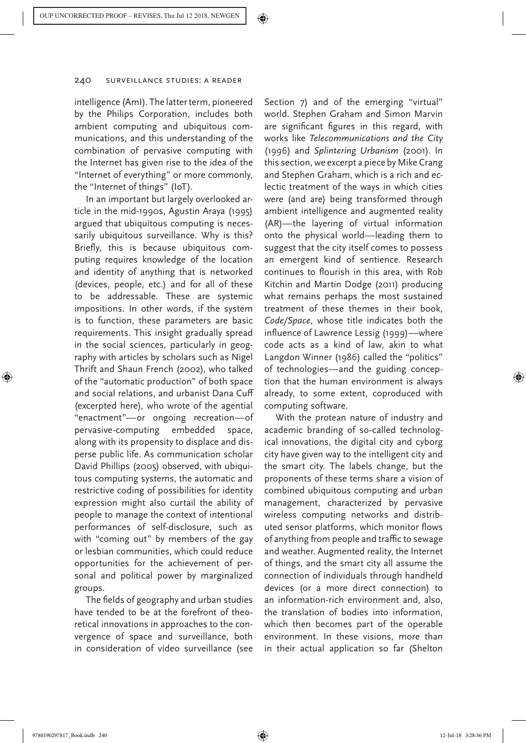intelligence (AmI). The latter term, pioneered by the Philips Corporation, includes both ambient computing and ubiquitous communications, and this understanding of the combination of pervasive computing with the Internet has given rise to the idea of the "Internet of everything" or more commonly, the "Internet of things" (IoT).

In an important but largely overlooked article in the mid-1990s, Agustin Araya (1995) argued that ubiquitous computing is necessarily ubiquitous surveillance. Why is this? Briefly, this is because ubiquitous computing requires knowledge of the location and identity of anything that is networked (devices, people, etc.) and for all of these to be addressable. These are systemic impositions. In other words, if the system is to function, these parameters are basic requirements. This insight gradually spread in the social sciences, particularly in geography with articles by scholars such as Nigel Thrift and Shaun French (2002), who talked of the "automatic production" of both space and social relations, and urbanist Dana Cuff (excerpted here), who wrote of the agential "enactment"—or ongoing recreation—of pervasive-computing embedded space, along with its propensity to displace and disperse public life. As communication scholar David Phillips (2005) observed, with ubiquitous computing systems, the automatic and restrictive coding of possibilities for identity expression might also curtail the ability of people to manage the context of intentional performances of self-disclosure, such as with "coming out" by members of the gay or lesbian communities, which could reduce opportunities for the achievement of personal and political power by marginalized groups.

The fields of geography and urban studies have tended to be at the forefront of theoretical innovations in approaches to the convergence of space and surveillance, both in consideration of video surveillance (see

Section 7) and of the emerging "virtual" world. Stephen Graham and Simon Marvin are significant figures in this regard, with works like *Telecommunications and the City* (1996) and *Splintering Urbanism* (2001). In this section, we excerpt a piece by Mike Crang and Stephen Graham, which is a rich and eclectic treatment of the ways in which cities were (and are) being transformed through ambient intelligence and augmented reality (AR)—the layering of virtual information onto the physical world—leading them to suggest that the city itself comes to possess an emergent kind of sentience. Research continues to flourish in this area, with Rob Kitchin and Martin Dodge (2011) producing what remains perhaps the most sustained treatment of these themes in their book, *Code/Space*, whose title indicates both the influence of Lawrence Lessig (1999)—where code acts as a kind of law, akin to what Langdon Winner (1986) called the "politics" of technologies—and the guiding conception that the human environment is always already, to some extent, coproduced with computing software.

With the protean nature of industry and academic branding of so-called technological innovations, the digital city and cyborg city have given way to the intelligent city and the smart city. The labels change, but the proponents of these terms share a vision of combined ubiquitous computing and urban management, characterized by pervasive wireless computing networks and distributed sensor platforms, which monitor flows of anything from people and traffic to sewage and weather. Augmented reality, the Internet of things, and the smart city all assume the connection of individuals through handheld devices (or a more direct connection) to an information-rich environment and, also, the translation of bodies into information, which then becomes part of the operable environment. In these visions, more than in their actual application so far (Shelton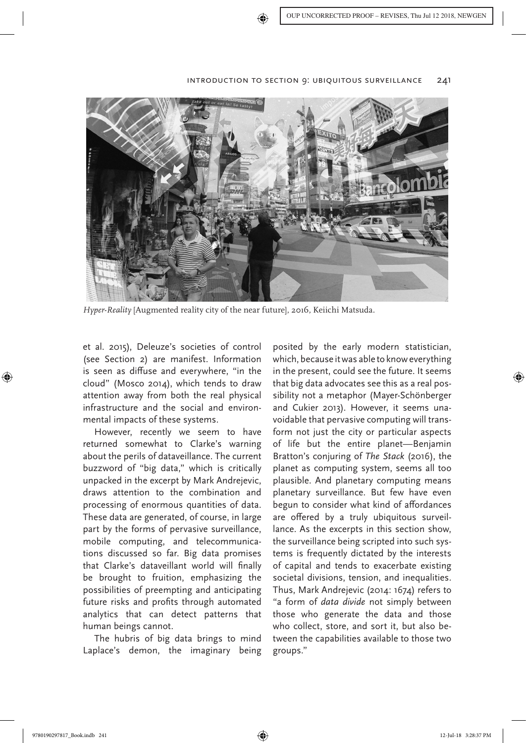

*Hyper-Reality* [Augmented reality city of the near future], 2016, Keiichi Matsuda.

et al. 2015), Deleuze's societies of control (see Section 2) are manifest. Information is seen as diffuse and everywhere, "in the cloud" (Mosco 2014), which tends to draw attention away from both the real physical infrastructure and the social and environmental impacts of these systems.

However, recently we seem to have returned somewhat to Clarke's warning about the perils of dataveillance. The current buzzword of "big data," which is critically unpacked in the excerpt by Mark Andrejevic, draws attention to the combination and processing of enormous quantities of data. These data are generated, of course, in large part by the forms of pervasive surveillance, mobile computing, and telecommunications discussed so far. Big data promises that Clarke's dataveillant world will finally be brought to fruition, emphasizing the possibilities of preempting and anticipating future risks and profits through automated analytics that can detect patterns that human beings cannot.

The hubris of big data brings to mind Laplace's demon, the imaginary being

posited by the early modern statistician, which, because it was able to know everything in the present, could see the future. It seems that big data advocates see this as a real possibility not a metaphor (Mayer-Schönberger and Cukier 2013). However, it seems unavoidable that pervasive computing will transform not just the city or particular aspects of life but the entire planet—Benjamin Bratton's conjuring of *The Stack* (2016), the planet as computing system, seems all too plausible. And planetary computing means planetary surveillance. But few have even begun to consider what kind of affordances are offered by a truly ubiquitous surveillance. As the excerpts in this section show, the surveillance being scripted into such systems is frequently dictated by the interests of capital and tends to exacerbate existing societal divisions, tension, and inequalities. Thus, Mark Andrejevic (2014: 1674) refers to "a form of *data divide* not simply between those who generate the data and those who collect, store, and sort it, but also between the capabilities available to those two groups."